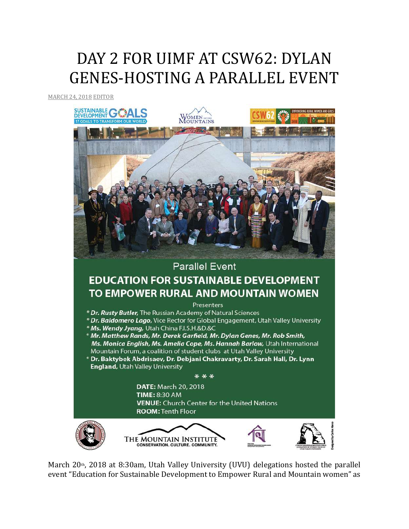## DAY 2 FOR UIMF AT CSW62: DYLAN GENES-HOSTING A PARALLEL EVENT

[MARCH](http://utahimf.org/archives/3465) 24, 2018 [EDITOR](http://utahimf.org/archives/author/editor)



March 20 $t$ <sub>h</sub>, 2018 at 8:30am, Utah Valley University (UVU) delegations hosted the parallel event "Education for Sustainable Development to Empower Rural and Mountain women" as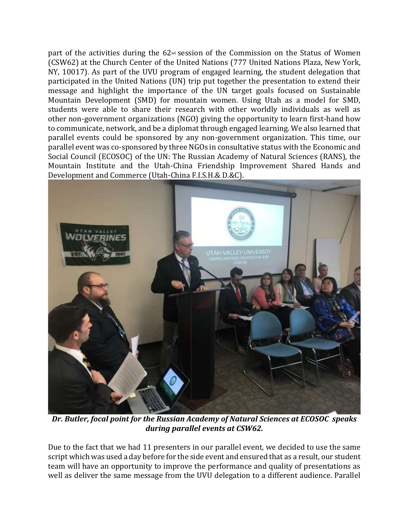part of the activities during the  $62<sub>nd</sub>$  session of the Commission on the Status of Women (CSW62) at the Church Center of the United Nations (777 United Nations Plaza, New York, NY, 10017). As part of the UVU program of engaged learning, the student delegation that participated in the United Nations (UN) trip put together the presentation to extend their message and highlight the importance of the UN target goals focused on Sustainable Mountain Development (SMD) for mountain women. Using Utah as a model for SMD, students were able to share their research with other worldly individuals as well as other non-government organizations (NGO) giving the opportunity to learn first-hand how to communicate, network, and be a diplomat through engaged learning. We also learned that parallel events could be sponsored by any non-government organization. This time, our parallel event was co-sponsored by three NGOs in consultative status with the Economic and Social Council (ECOSOC) of the UN: The Russian Academy of Natural Sciences (RANS), the Mountain Institute and the Utah-China Friendship Improvement Shared Hands and Development and Commerce (Utah-China F.I.S.H.& D.&C).



*Dr. Butler, focal point for the Russian Academy of Natural Sciences at ECOSOC speaks during parallel events at CSW62.*

Due to the fact that we had 11 presenters in our parallel event, we decided to use the same script which was used a day before for the side event and ensured that as a result, our student team will have an opportunity to improve the performance and quality of presentations as well as deliver the same message from the UVU delegation to a different audience. Parallel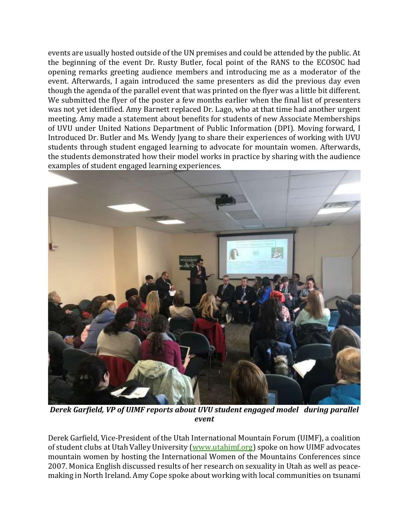events are usually hosted outside of the UN premises and could be attended by the public. At the beginning of the event Dr. Rusty Butler, focal point of the RANS to the ECOSOC had opening remarks greeting audience members and introducing me as a moderator of the event. Afterwards, I again introduced the same presenters as did the previous day even though the agenda of the parallel event that was printed on the flyer was a little bit different. We submitted the flyer of the poster a few months earlier when the final list of presenters was not yet identified. Amy Barnett replaced Dr. Lago, who at that time had another urgent meeting. Amy made a statement about benefits for students of new Associate Memberships of UVU under United Nations Department of Public Information (DPI). Moving forward, I Introduced Dr. Butler and Ms. Wendy Jyang to share their experiences of working with UVU students through student engaged learning to advocate for mountain women. Afterwards, the students demonstrated how their model works in practice by sharing with the audience examples of student engaged learning experiences.



*Derek Garfield, VP of UIMF reports about UVU student engaged model during parallel event*

Derek Garfield, Vice-President of the Utah International Mountain Forum (UIMF), a coalition of student clubs at Utah Valley University [\(www.utahimf.org\)](http://www.utahimf.org/) spoke on how UIMF advocates mountain women by hosting the International Women of the Mountains Conferences since 2007. Monica English discussed results of her research on sexuality in Utah as well as peacemaking in North Ireland. Amy Cope spoke about working with local communities on tsunami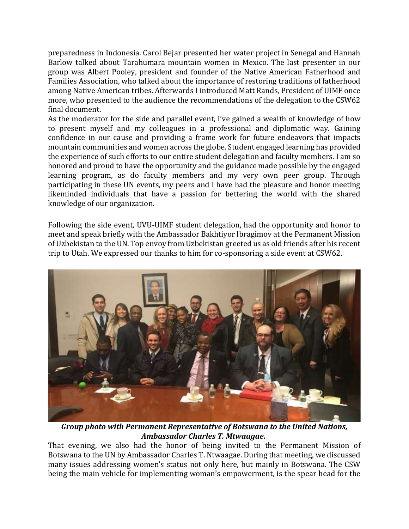preparedness in Indonesia. Carol Bejar presented her water project in Senegal and Hannah Barlow talked about Tarahumara mountain women in Mexico. The last presenter in our group was Albert Pooley, president and founder of the Native American Fatherhood and Families Association, who talked about the importance of restoring traditions of fatherhood among Native American tribes. Afterwards I introduced Matt Rands, President of UIMF once more, who presented to the audience the recommendations of the delegation to the CSW62 final document.

As the moderator for the side and parallel event, I've gained a wealth of knowledge of how to present myself and my colleagues in a professional and diplomatic way. Gaining confidence in our cause and providing a frame work for future endeavors that impacts mountain communities and women across the globe. Student engaged learning has provided the experience of such efforts to our entire student delegation and faculty members. I am so honored and proud to have the opportunity and the guidance made possible by the engaged learning program, as do faculty members and my very own peer group. Through participating in these UN events, my peers and I have had the pleasure and honor meeting likeminded individuals that have a passion for bettering the world with the shared knowledge of our organization.

Following the side event, UVU-UIMF student delegation, had the opportunity and honor to meet and speak briefly with the Ambassador Bakhtiyor Ibragimov at the Permanent Mission of Uzbekistan to the UN. Top envoy from Uzbekistan greeted us as old friends after his recent trip to Utah. We expressed our thanks to him for co-sponsoring a side event at CSW62.



*Group photo with Permanent Representative of Botswana to the United Nations, Ambassador Charles T. Mtwaagae.*

That evening, we also had the honor of being invited to the Permanent Mission of Botswana to the UN by Ambassador Charles T. Ntwaagae. During that meeting, we discussed many issues addressing women's status not only here, but mainly in Botswana. The CSW being the main vehicle for implementing woman's empowerment, is the spear head for the